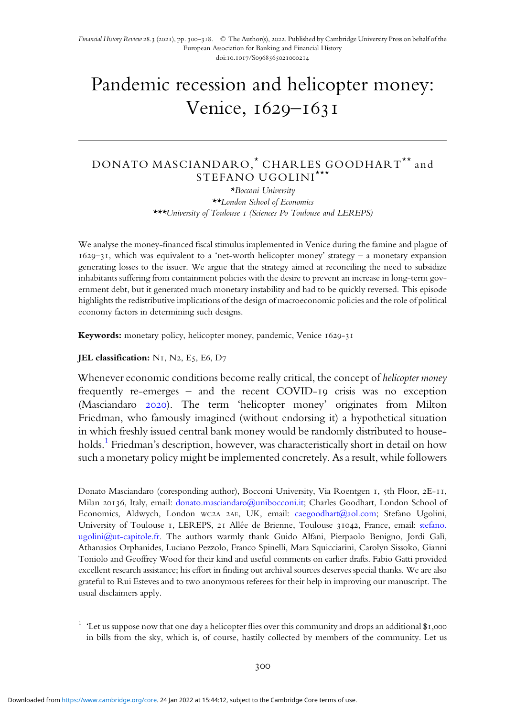Financial History Review 28.3 (2021), pp. 300-318. © The Author(s), 2022. Published by Cambridge University Press on behalf of the European Association for Banking and Financial History doi:10.1017/S0968565021000214

# Pandemic recession and helicopter money: Venice, 1629-1631

# DONATO MASCIANDARO,<sup>\*</sup> CHARLES GOODHART<sup>\*\*</sup> and STEFANO UGOLINI \*\*\*

\*Bocconi University \*\*London School of Economics \*\*\*University of Toulouse 1 (Sciences Po Toulouse and LEREPS)

We analyse the money-financed fiscal stimulus implemented in Venice during the famine and plague of  $1629 - 31$ , which was equivalent to a 'net-worth helicopter money' strategy – a monetary expansion generating losses to the issuer. We argue that the strategy aimed at reconciling the need to subsidize inhabitants suffering from containment policies with the desire to prevent an increase in long-term government debt, but it generated much monetary instability and had to be quickly reversed. This episode highlights the redistributive implications of the design of macroeconomic policies and the role of political economy factors in determining such designs.

Keywords: monetary policy, helicopter money, pandemic, Venice 1629-31

#### JEL classification:  $N<sub>I</sub>$ ,  $N<sub>2</sub>$ ,  $E<sub>5</sub>$ ,  $E<sub>6</sub>$ ,  $D<sub>7</sub>$

Whenever economic conditions become really critical, the concept of *helicopter money* frequently re-emerges – and the recent COVID-19 crisis was no exception (Masciandaro 2020). The term 'helicopter money' originates from Milton Friedman, who famously imagined (without endorsing it) a hypothetical situation in which freshly issued central bank money would be randomly distributed to households.<sup>1</sup> Friedman's description, however, was characteristically short in detail on how such a monetary policy might be implemented concretely. As a result, while followers

Donato Masciandaro (coresponding author), Bocconi University, Via Roentgen 1, 5th Floor, 2E-11, Milan 20136, Italy, email: donato.masciandaro@unibocconi.it; Charles Goodhart, London School of Economics, Aldwych, London wc2A 2AE, UK, email: caegoodhart@aol.com; Stefano Ugolini, University of Toulouse I, LEREPS, 21 Allée de Brienne, Toulouse 31042, France, email: stefano. ugolini@ut-capitole.fr. The authors warmly thank Guido Alfani, Pierpaolo Benigno, Jordi Galì, Athanasios Orphanides, Luciano Pezzolo, Franco Spinelli, Mara Squicciarini, Carolyn Sissoko, Gianni Toniolo and Geoffrey Wood for their kind and useful comments on earlier drafts. Fabio Gatti provided excellent research assistance; his effort in finding out archival sources deserves special thanks. We are also grateful to Rui Esteves and to two anonymous referees for their help in improving our manuscript. The usual disclaimers apply.

<sup>1</sup> 'Let us suppose now that one day a helicopter flies over this community and drops an additional \$1,000 in bills from the sky, which is, of course, hastily collected by members of the community. Let us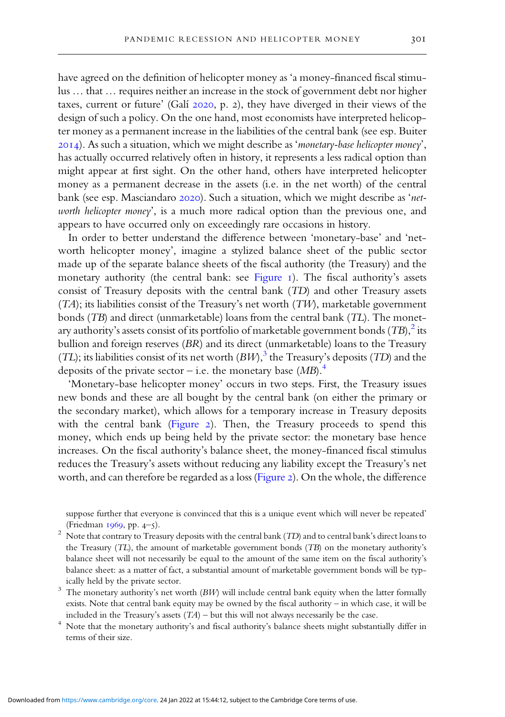have agreed on the definition of helicopter money as 'a money-financed fiscal stimulus … that … requires neither an increase in the stock of government debt nor higher taxes, current or future' (Galí  $2020$ , p. 2), they have diverged in their views of the design of such a policy. On the one hand, most economists have interpreted helicopter money as a permanent increase in the liabilities of the central bank (see esp. Buiter  $(2014)$ . As such a situation, which we might describe as 'monetary-base helicopter money', has actually occurred relatively often in history, it represents a less radical option than might appear at first sight. On the other hand, others have interpreted helicopter money as a permanent decrease in the assets (i.e. in the net worth) of the central bank (see esp. Masciandaro 2020). Such a situation, which we might describe as 'networth helicopter money', is a much more radical option than the previous one, and appears to have occurred only on exceedingly rare occasions in history.

In order to better understand the difference between 'monetary-base' and 'networth helicopter money', imagine a stylized balance sheet of the public sector made up of the separate balance sheets of the fiscal authority (the Treasury) and the monetary authority (the central bank: see Figure  $I$ ). The fiscal authority's assets consist of Treasury deposits with the central bank (TD) and other Treasury assets  $(TA)$ ; its liabilities consist of the Treasury's net worth  $(TW)$ , marketable government bonds (TB) and direct (unmarketable) loans from the central bank (TL). The monetary authority's assets consist of its portfolio of marketable government bonds  $\left(TB\right)^2$  its bullion and foreign reserves (BR) and its direct (unmarketable) loans to the Treasury (TL); its liabilities consist of its net worth  $(BW)^3$  the Treasury's deposits (TD) and the deposits of the private sector – i.e. the monetary base  $(MB)$ .<sup>4</sup>

'Monetary-base helicopter money' occurs in two steps. First, the Treasury issues new bonds and these are all bought by the central bank (on either the primary or the secondary market), which allows for a temporary increase in Treasury deposits with the central bank (Figure 2). Then, the Treasury proceeds to spend this money, which ends up being held by the private sector: the monetary base hence increases. On the fiscal authority's balance sheet, the money-financed fiscal stimulus reduces the Treasury's assets without reducing any liability except the Treasury's net worth, and can therefore be regarded as a loss (Figure 2). On the whole, the difference

suppose further that everyone is convinced that this is a unique event which will never be repeated' (Friedman  $1969$ , pp.  $4-5$ ).

- <sup>2</sup> Note that contrary to Treasury deposits with the central bank (TD) and to central bank's direct loans to the Treasury (TL), the amount of marketable government bonds (TB) on the monetary authority's balance sheet will not necessarily be equal to the amount of the same item on the fiscal authority's balance sheet: as a matter of fact, a substantial amount of marketable government bonds will be typically held by the private sector.
- $3$  The monetary authority's net worth (BW) will include central bank equity when the latter formally exists. Note that central bank equity may be owned by the fiscal authority – in which case, it will be included in the Treasury's assets  $(TA)$  – but this will not always necessarily be the case.
- <sup>4</sup> Note that the monetary authority's and fiscal authority's balance sheets might substantially differ in terms of their size.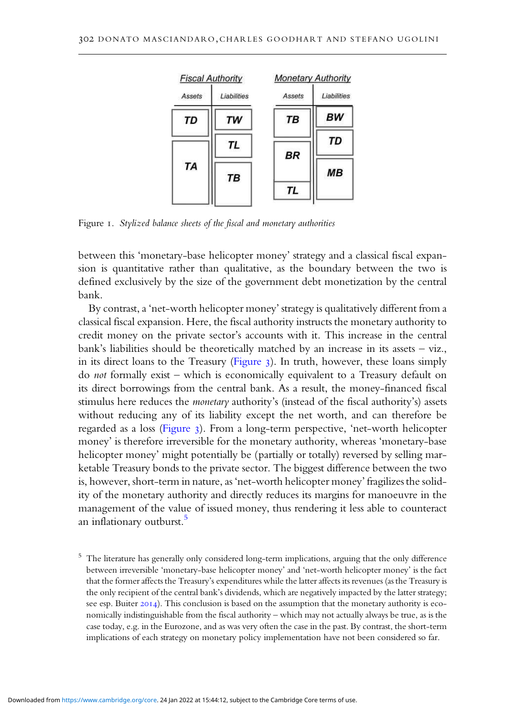

Figure 1. Stylized balance sheets of the fiscal and monetary authorities

between this 'monetary-base helicopter money' strategy and a classical fiscal expansion is quantitative rather than qualitative, as the boundary between the two is defined exclusively by the size of the government debt monetization by the central bank.

By contrast, a 'net-worth helicopter money' strategy is qualitatively different from a classical fiscal expansion. Here, the fiscal authority instructs the monetary authority to credit money on the private sector's accounts with it. This increase in the central bank's liabilities should be theoretically matched by an increase in its assets – viz., in its direct loans to the Treasury (Figure 3). In truth, however, these loans simply do not formally exist – which is economically equivalent to a Treasury default on its direct borrowings from the central bank. As a result, the money-financed fiscal stimulus here reduces the *monetary* authority's (instead of the fiscal authority's) assets without reducing any of its liability except the net worth, and can therefore be regarded as a loss (Figure 3). From a long-term perspective, 'net-worth helicopter money' is therefore irreversible for the monetary authority, whereas 'monetary-base helicopter money' might potentially be (partially or totally) reversed by selling marketable Treasury bonds to the private sector. The biggest difference between the two is, however, short-term in nature, as 'net-worth helicopter money' fragilizes the solidity of the monetary authority and directly reduces its margins for manoeuvre in the management of the value of issued money, thus rendering it less able to counteract an inflationary outburst.<sup>5</sup>

<sup>5</sup> The literature has generally only considered long-term implications, arguing that the only difference between irreversible 'monetary-base helicopter money' and 'net-worth helicopter money' is the fact that the former affects the Treasury's expenditures while the latter affects its revenues (as the Treasury is the only recipient of the central bank's dividends, which are negatively impacted by the latter strategy; see esp. Buiter 2014). This conclusion is based on the assumption that the monetary authority is economically indistinguishable from the fiscal authority – which may not actually always be true, as is the case today, e.g. in the Eurozone, and as was very often the case in the past. By contrast, the short-term implications of each strategy on monetary policy implementation have not been considered so far.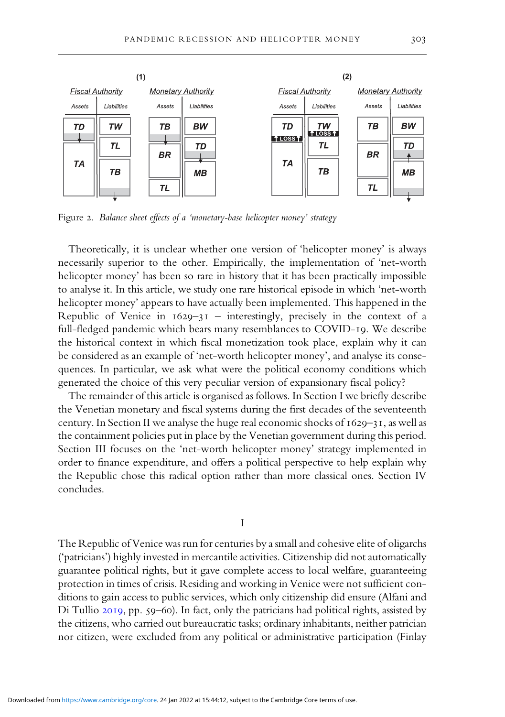

Figure 2. Balance sheet effects of a 'monetary-base helicopter money' strategy

Theoretically, it is unclear whether one version of 'helicopter money' is always necessarily superior to the other. Empirically, the implementation of 'net-worth helicopter money' has been so rare in history that it has been practically impossible to analyse it. In this article, we study one rare historical episode in which 'net-worth helicopter money' appears to have actually been implemented. This happened in the Republic of Venice in  $1629-31$  – interestingly, precisely in the context of a full-fledged pandemic which bears many resemblances to COVID-19. We describe the historical context in which fiscal monetization took place, explain why it can be considered as an example of 'net-worth helicopter money', and analyse its consequences. In particular, we ask what were the political economy conditions which generated the choice of this very peculiar version of expansionary fiscal policy?

The remainder of this article is organised as follows. In Section I we briefly describe the Venetian monetary and fiscal systems during the first decades of the seventeenth century. In Section II we analyse the huge real economic shocks of  $1629 - 31$ , as well as the containment policies put in place by the Venetian government during this period. Section III focuses on the 'net-worth helicopter money' strategy implemented in order to finance expenditure, and offers a political perspective to help explain why the Republic chose this radical option rather than more classical ones. Section IV concludes.

I

The Republic of Venice was run for centuries by a small and cohesive elite of oligarchs ('patricians') highly invested in mercantile activities. Citizenship did not automatically guarantee political rights, but it gave complete access to local welfare, guaranteeing protection in times of crisis. Residing and working in Venice were not sufficient conditions to gain access to public services, which only citizenship did ensure (Alfani and Di Tullio 2019, pp. 59-60). In fact, only the patricians had political rights, assisted by the citizens, who carried out bureaucratic tasks; ordinary inhabitants, neither patrician nor citizen, were excluded from any political or administrative participation (Finlay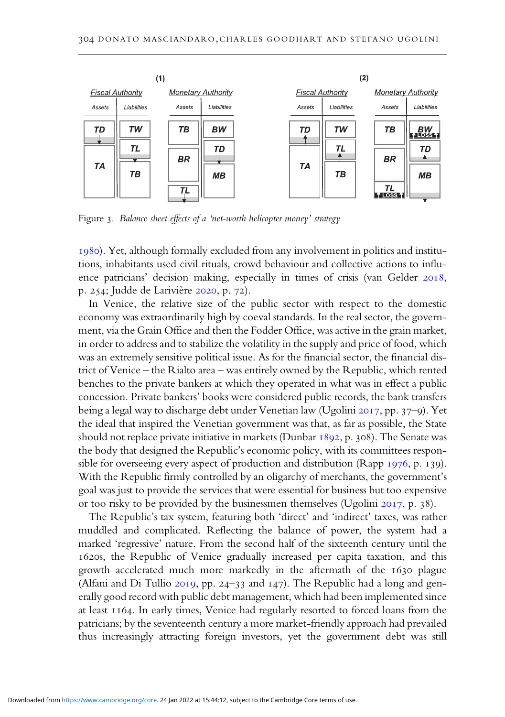

Figure 3. Balance sheet effects of a 'net-worth helicopter money' strategy

). Yet, although formally excluded from any involvement in politics and institutions, inhabitants used civil rituals, crowd behaviour and collective actions to influence patricians' decision making, especially in times of crisis (van Gelder 2018, p. 254; Judde de Larivière 2020, p. 72).

In Venice, the relative size of the public sector with respect to the domestic economy was extraordinarily high by coeval standards. In the real sector, the government, via the Grain Office and then the Fodder Office, was active in the grain market, in order to address and to stabilize the volatility in the supply and price of food, which was an extremely sensitive political issue. As for the financial sector, the financial district of Venice – the Rialto area – was entirely owned by the Republic, which rented benches to the private bankers at which they operated in what was in effect a public concession. Private bankers' books were considered public records, the bank transfers being a legal way to discharge debt under Venetian law (Ugolini 2017, pp. 37–9). Yet the ideal that inspired the Venetian government was that, as far as possible, the State should not replace private initiative in markets (Dunbar  $1892$ , p. 308). The Senate was the body that designed the Republic's economic policy, with its committees responsible for overseeing every aspect of production and distribution (Rapp  $1976$ , p. 139). With the Republic firmly controlled by an oligarchy of merchants, the government's goal was just to provide the services that were essential for business but too expensive or too risky to be provided by the businessmen themselves (Ugolini  $2017$ , p. 38).

The Republic's tax system, featuring both 'direct' and 'indirect' taxes, was rather muddled and complicated. Reflecting the balance of power, the system had a marked 'regressive' nature. From the second half of the sixteenth century until the 1620s, the Republic of Venice gradually increased per capita taxation, and this growth accelerated much more markedly in the aftermath of the 1630 plague (Alfani and Di Tullio  $2019$ , pp. 24-33 and  $147$ ). The Republic had a long and generally good record with public debt management, which had been implemented since at least 1164. In early times, Venice had regularly resorted to forced loans from the patricians; by the seventeenth century a more market-friendly approach had prevailed thus increasingly attracting foreign investors, yet the government debt was still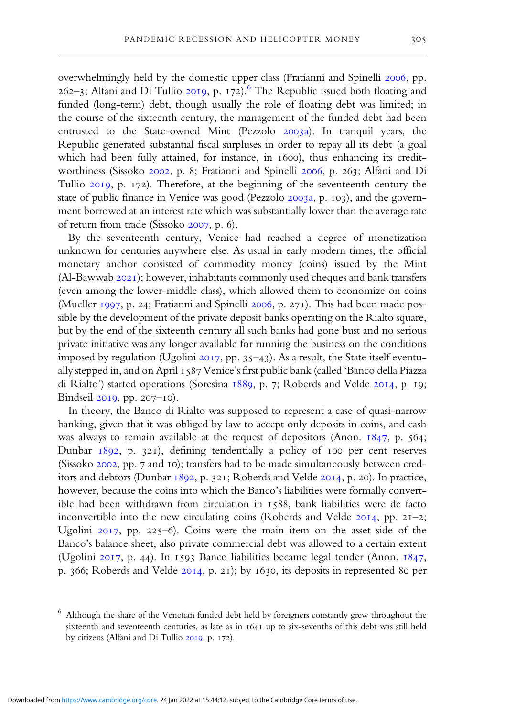overwhelmingly held by the domestic upper class (Fratianni and Spinelli 2006, pp.  $262-3$ ; Alfani and Di Tullio 2019, p. 172).<sup>6</sup> The Republic issued both floating and funded (long-term) debt, though usually the role of floating debt was limited; in the course of the sixteenth century, the management of the funded debt had been entrusted to the State-owned Mint (Pezzolo 2003a). In tranquil years, the Republic generated substantial fiscal surpluses in order to repay all its debt (a goal which had been fully attained, for instance, in 1600), thus enhancing its creditworthiness (Sissoko 2002, p. 8; Fratianni and Spinelli 2006, p. 263; Alfani and Di Tullio 2019, p. 172). Therefore, at the beginning of the seventeenth century the state of public finance in Venice was good (Pezzolo 2003a, p. 103), and the government borrowed at an interest rate which was substantially lower than the average rate of return from trade (Sissoko 2007, p. 6).

By the seventeenth century, Venice had reached a degree of monetization unknown for centuries anywhere else. As usual in early modern times, the official monetary anchor consisted of commodity money (coins) issued by the Mint  $(Al-Bawwab 2021)$ ; however, inhabitants commonly used cheques and bank transfers (even among the lower-middle class), which allowed them to economize on coins (Mueller 1997, p. 24; Fratianni and Spinelli 2006, p. 271). This had been made possible by the development of the private deposit banks operating on the Rialto square, but by the end of the sixteenth century all such banks had gone bust and no serious private initiative was any longer available for running the business on the conditions imposed by regulation (Ugolini  $2017$ , pp. 35-43). As a result, the State itself eventually stepped in, and on April 1587 Venice's first public bank (called 'Banco della Piazza di Rialto') started operations (Soresina 1889, p. 7; Roberds and Velde 2014, p. 19; Bindseil 2019, pp. 207-10).

In theory, the Banco di Rialto was supposed to represent a case of quasi-narrow banking, given that it was obliged by law to accept only deposits in coins, and cash was always to remain available at the request of depositors (Anon.  $1847$ , p.  $564$ ; Dunbar  $1892$ , p. 321), defining tendentially a policy of 100 per cent reserves (Sissoko 2002, pp. 7 and 10); transfers had to be made simultaneously between creditors and debtors (Dunbar  $1892$ , p. 321; Roberds and Velde 2014, p. 20). In practice, however, because the coins into which the Banco's liabilities were formally convertible had been withdrawn from circulation in  $1588$ , bank liabilities were de facto inconvertible into the new circulating coins (Roberds and Velde  $2014$ , pp. 21-2; Ugolini  $2017$ , pp. 225-6). Coins were the main item on the asset side of the Banco's balance sheet, also private commercial debt was allowed to a certain extent (Ugolini 2017, p. 44). In 1593 Banco liabilities became legal tender (Anon.  $1847$ , p. 366; Roberds and Velde  $20I4$ , p. 21); by 1630, its deposits in represented 80 per

Although the share of the Venetian funded debt held by foreigners constantly grew throughout the sixteenth and seventeenth centuries, as late as in 1641 up to six-sevenths of this debt was still held by citizens (Alfani and Di Tullio  $2019$ , p. 172).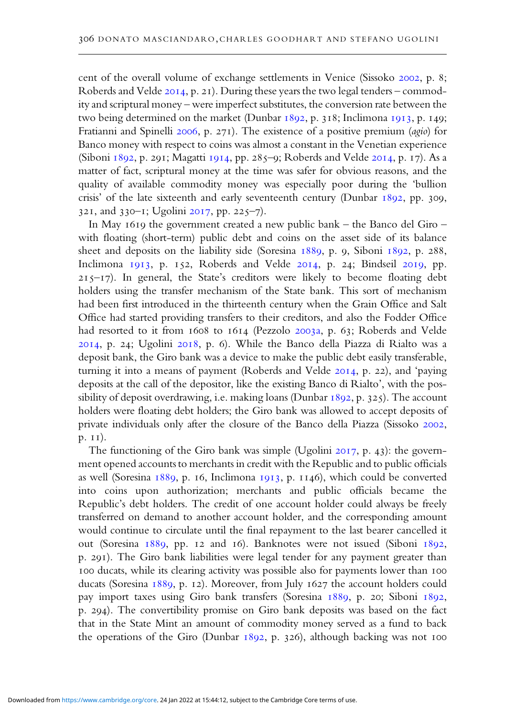cent of the overall volume of exchange settlements in Venice (Sissoko 2002, p. 8; Roberds and Velde 2014, p. 21). During these years the two legal tenders – commodity and scriptural money – were imperfect substitutes, the conversion rate between the two being determined on the market (Dunbar  $1892$ , p. 318; Inclimona 1913, p. 149; Fratianni and Spinelli 2006, p. 271). The existence of a positive premium (agio) for Banco money with respect to coins was almost a constant in the Venetian experience (Siboni 1892, p. 291; Magatti 1914, pp. 285-9; Roberds and Velde 2014, p. 17). As a matter of fact, scriptural money at the time was safer for obvious reasons, and the quality of available commodity money was especially poor during the 'bullion crisis' of the late sixteenth and early seventeenth century (Dunbar  $1892$ , pp. 309,  $32I$ , and  $330-I$ ; Ugolini  $20I7$ , pp.  $225-7$ ).

In May 1619 the government created a new public bank – the Banco del Giro – with floating (short-term) public debt and coins on the asset side of its balance sheet and deposits on the liability side (Soresina 1889, p. 9, Siboni 1892, p. 288, Inclimona 1913, p. 152, Roberds and Velde 2014, p. 24; Bindseil 2019, pp.  $215-17$ ). In general, the State's creditors were likely to become floating debt holders using the transfer mechanism of the State bank. This sort of mechanism had been first introduced in the thirteenth century when the Grain Office and Salt Office had started providing transfers to their creditors, and also the Fodder Office had resorted to it from 1608 to 1614 (Pezzolo 2003a, p. 63; Roberds and Velde 2014, p. 24; Ugolini 2018, p. 6). While the Banco della Piazza di Rialto was a deposit bank, the Giro bank was a device to make the public debt easily transferable, turning it into a means of payment (Roberds and Velde 2014, p. 22), and 'paying deposits at the call of the depositor, like the existing Banco di Rialto', with the possibility of deposit overdrawing, i.e. making loans (Dunbar 1892, p. 325). The account holders were floating debt holders; the Giro bank was allowed to accept deposits of private individuals only after the closure of the Banco della Piazza (Sissoko 2002,  $p. I1$ ).

The functioning of the Giro bank was simple (Ugolini  $2017$ , p. 43): the government opened accounts to merchants in credit with the Republic and to public officials as well (Soresina 1889, p. 16, Inclimona 1913, p. 1146), which could be converted into coins upon authorization; merchants and public officials became the Republic's debt holders. The credit of one account holder could always be freely transferred on demand to another account holder, and the corresponding amount would continue to circulate until the final repayment to the last bearer cancelled it out (Soresina 1889, pp. 12 and 16). Banknotes were not issued (Siboni 1892, p. 291). The Giro bank liabilities were legal tender for any payment greater than 100 ducats, while its clearing activity was possible also for payments lower than 100 ducats (Soresina 1889, p. 12). Moreover, from July 1627 the account holders could pay import taxes using Giro bank transfers (Soresina 1889, p. 20; Siboni 1892, p. 294). The convertibility promise on Giro bank deposits was based on the fact that in the State Mint an amount of commodity money served as a fund to back the operations of the Giro (Dunbar  $1892$ , p. 326), although backing was not 100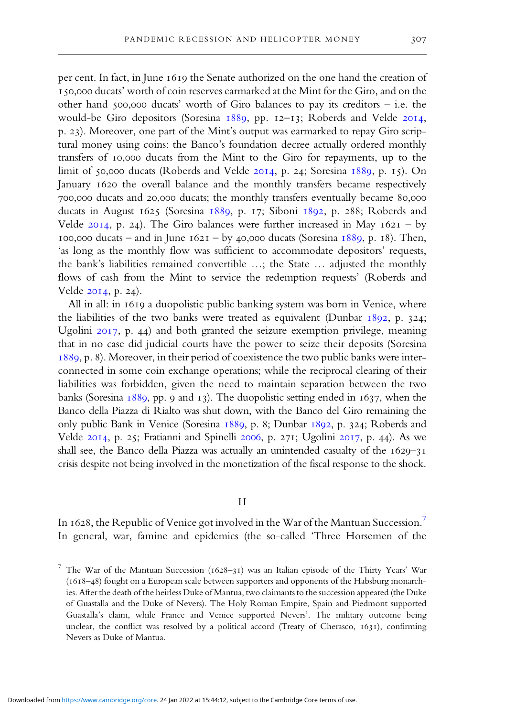per cent. In fact, in June 1619 the Senate authorized on the one hand the creation of 150,000 ducats' worth of coin reserves earmarked at the Mint for the Giro, and on the other hand  $\zeta$ 00,000 ducats' worth of Giro balances to pay its creditors – i.e. the would-be Giro depositors (Soresina 1889, pp. 12-13; Roberds and Velde 2014, p. 23). Moreover, one part of the Mint's output was earmarked to repay Giro scriptural money using coins: the Banco's foundation decree actually ordered monthly transfers of 10,000 ducats from the Mint to the Giro for repayments, up to the limit of 50,000 ducats (Roberds and Velde  $20I4$ , p. 24; Soresina 1889, p. 15). On January 1620 the overall balance and the monthly transfers became respectively 700,000 ducats and 20,000 ducats; the monthly transfers eventually became 80,000 ducats in August  $1625$  (Soresina  $1889$ , p. 17; Siboni  $1892$ , p. 288; Roberds and Velde  $2014$ , p. 24). The Giro balances were further increased in May  $1621 - by$ 100,000 ducats – and in June  $1621 - by 40,000$  ducats (Soresina  $1889, p. 18$ ). Then, 'as long as the monthly flow was sufficient to accommodate depositors' requests, the bank's liabilities remained convertible …; the State … adjusted the monthly flows of cash from the Mint to service the redemption requests' (Roberds and Velde 2014, p. 24).

All in all: in 1619 a duopolistic public banking system was born in Venice, where the liabilities of the two banks were treated as equivalent (Dunbar  $1892$ , p. 324; Ugolini  $2017$ , p. 44) and both granted the seizure exemption privilege, meaning that in no case did judicial courts have the power to seize their deposits (Soresina  $1889$ , p. 8). Moreover, in their period of coexistence the two public banks were interconnected in some coin exchange operations; while the reciprocal clearing of their liabilities was forbidden, given the need to maintain separation between the two banks (Soresina  $1889$ , pp. 9 and 13). The duopolistic setting ended in 1637, when the Banco della Piazza di Rialto was shut down, with the Banco del Giro remaining the only public Bank in Venice (Soresina 1889, p. 8; Dunbar 1892, p. 324; Roberds and Velde 2014, p. 25; Fratianni and Spinelli 2006, p. 271; Ugolini 2017, p. 44). As we shall see, the Banco della Piazza was actually an unintended casualty of the  $1629-31$ crisis despite not being involved in the monetization of the fiscal response to the shock.

#### I I

In 1628, the Republic of Venice got involved in the War of the Mantuan Succession.<sup>7</sup> In general, war, famine and epidemics (the so-called 'Three Horsemen of the

<sup>&</sup>lt;sup>7</sup> The War of the Mantuan Succession ( $1628-31$ ) was an Italian episode of the Thirty Years' War  $(1618-48)$  fought on a European scale between supporters and opponents of the Habsburg monarchies. After the death of the heirless Duke of Mantua, two claimants to the succession appeared (the Duke of Guastalla and the Duke of Nevers). The Holy Roman Empire, Spain and Piedmont supported Guastalla's claim, while France and Venice supported Nevers'. The military outcome being unclear, the conflict was resolved by a political accord (Treaty of Cherasco,  $1631$ ), confirming Nevers as Duke of Mantua.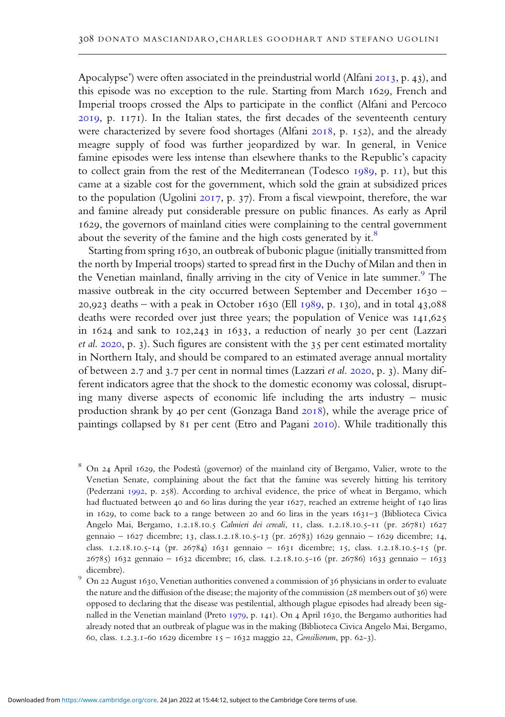Apocalypse') were often associated in the preindustrial world (Alfani  $2013$ , p. 43), and this episode was no exception to the rule. Starting from March 1629, French and Imperial troops crossed the Alps to participate in the conflict (Alfani and Percoco 2019, p. 1171). In the Italian states, the first decades of the seventeenth century were characterized by severe food shortages (Alfani 2018, p. 152), and the already meagre supply of food was further jeopardized by war. In general, in Venice famine episodes were less intense than elsewhere thanks to the Republic's capacity to collect grain from the rest of the Mediterranean (Todesco  $1989$ , p.  $11$ ), but this came at a sizable cost for the government, which sold the grain at subsidized prices to the population (Ugolini  $2017$ , p. 37). From a fiscal viewpoint, therefore, the war and famine already put considerable pressure on public finances. As early as April 1629, the governors of mainland cities were complaining to the central government about the severity of the famine and the high costs generated by it. $8$ 

Starting from spring 1630, an outbreak of bubonic plague (initially transmitted from the north by Imperial troops) started to spread first in the Duchy of Milan and then in the Venetian mainland, finally arriving in the city of Venice in late summer.<sup>9</sup> The massive outbreak in the city occurred between September and December  $1630 -$ 20,923 deaths – with a peak in October 1630 (Ell  $1989$ , p. 130), and in total 43,088 deaths were recorded over just three years; the population of Venice was 141,625 in  $1624$  and sank to  $102,243$  in  $1633$ , a reduction of nearly 30 per cent (Lazzari et al. 2020, p. 3). Such figures are consistent with the 35 per cent estimated mortality in Northern Italy, and should be compared to an estimated average annual mortality of between 2.7 and 3.7 per cent in normal times (Lazzari et al. 2020, p. 3). Many different indicators agree that the shock to the domestic economy was colossal, disrupting many diverse aspects of economic life including the arts industry – music production shrank by 40 per cent (Gonzaga Band 2018), while the average price of paintings collapsed by 81 per cent (Etro and Pagani 2010). While traditionally this

<sup>8</sup> On 24 April 1629, the Podestà (governor) of the mainland city of Bergamo, Valier, wrote to the Venetian Senate, complaining about the fact that the famine was severely hitting his territory (Pederzani 1992, p. 258). According to archival evidence, the price of wheat in Bergamo, which had fluctuated between 40 and 60 liras during the year  $1627$ , reached an extreme height of  $140$  liras in 1629, to come back to a range between 20 and 60 liras in the years  $1631-3$  (Biblioteca Civica Angelo Mai, Bergamo, 1.2.18.10.5 Calmieri dei cereali, 11, class. 1.2.18.10.5-11 (pr. 26781) 1627 gennaio - 1627 dicembre; 13, class.1.2.18.10.5-13 (pr. 26783) 1629 gennaio - 1629 dicembre; 14, class. 1.2.18.10.5-14 (pr. 26784) 1631 gennaio - 1631 dicembre; 15, class. 1.2.18.10.5-15 (pr.  $26785$ )  $1632$  gennaio –  $1632$  dicembre; 16, class.  $1.2.18.10.5-16$  (pr. 26786)  $1633$  gennaio –  $1633$ dicembre).

<sup>9</sup> On 22 August 1630, Venetian authorities convened a commission of 36 physicians in order to evaluate the nature and the diffusion of the disease; the majority of the commission (28 members out of  $36$ ) were opposed to declaring that the disease was pestilential, although plague episodes had already been signalled in the Venetian mainland (Preto 1979, p. 141). On 4 April 1630, the Bergamo authorities had already noted that an outbreak of plague was in the making (Biblioteca Civica Angelo Mai, Bergamo, 60, class. 1.2.3.1-60 1629 dicembre  $15 - 1632$  maggio 22, Consiliorum, pp. 62-3).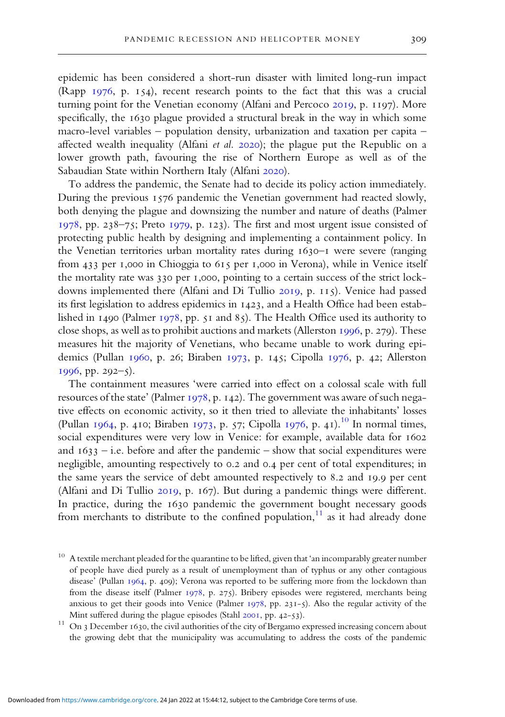epidemic has been considered a short-run disaster with limited long-run impact (Rapp  $1976$ , p.  $154$ ), recent research points to the fact that this was a crucial turning point for the Venetian economy (Alfani and Percoco 2019, p. 1197). More specifically, the 1630 plague provided a structural break in the way in which some macro-level variables – population density, urbanization and taxation per capita – affected wealth inequality (Alfani et al. 2020); the plague put the Republic on a lower growth path, favouring the rise of Northern Europe as well as of the Sabaudian State within Northern Italy (Alfani 2020).

To address the pandemic, the Senate had to decide its policy action immediately. During the previous 1576 pandemic the Venetian government had reacted slowly, both denying the plague and downsizing the number and nature of deaths (Palmer 1978, pp. 238-75; Preto 1979, p. 123). The first and most urgent issue consisted of protecting public health by designing and implementing a containment policy. In the Venetian territories urban mortality rates during 1630-1 were severe (ranging from 433 per 1,000 in Chioggia to 615 per 1,000 in Verona), while in Venice itself the mortality rate was 330 per 1,000, pointing to a certain success of the strict lockdowns implemented there (Alfani and Di Tullio 2019, p. 115). Venice had passed its first legislation to address epidemics in 1423, and a Health Office had been established in 1490 (Palmer 1978, pp.  $\overline{51}$  and  $\overline{85}$ ). The Health Office used its authority to close shops, as well as to prohibit auctions and markets (Allerston  $1996$ , p. 279). These measures hit the majority of Venetians, who became unable to work during epidemics (Pullan  $1960$ , p. 26; Biraben 1973, p. 145; Cipolla 1976, p. 42; Allerston  $1996$ , pp. 292-5).

The containment measures 'were carried into effect on a colossal scale with full resources of the state' (Palmer 1978, p. 142). The government was aware of such negative effects on economic activity, so it then tried to alleviate the inhabitants' losses (Pullan 1964, p. 410; Biraben 1973, p. 57; Cipolla 1976, p. 41).<sup>10</sup> In normal times, social expenditures were very low in Venice: for example, available data for 1602 and  $1633 - i.e.$  before and after the pandemic – show that social expenditures were negligible, amounting respectively to 0.2 and 0.4 per cent of total expenditures; in the same years the service of debt amounted respectively to 8.2 and 19.9 per cent (Alfani and Di Tullio 2019, p. 167). But during a pandemic things were different. In practice, during the 1630 pandemic the government bought necessary goods from merchants to distribute to the confined population, $\frac{1}{1}$  as it had already done

 $10$  A textile merchant pleaded for the quarantine to be lifted, given that 'an incomparably greater number of people have died purely as a result of unemployment than of typhus or any other contagious disease' (Pullan  $1964$ , p. 409); Verona was reported to be suffering more from the lockdown than from the disease itself (Palmer 1978, p. 275). Bribery episodes were registered, merchants being anxious to get their goods into Venice (Palmer  $1978$ , pp. 231-5). Also the regular activity of the Mint suffered during the plague episodes (Stahl  $200I$ , pp.  $42-53$ ).

 $^{11}\,$  On 3 December 1630, the civil authorities of the city of Bergamo expressed increasing concern about the growing debt that the municipality was accumulating to address the costs of the pandemic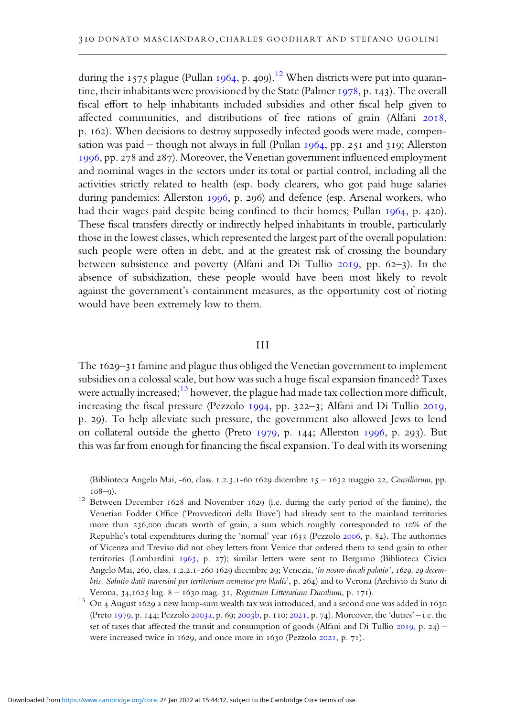during the 1575 plague (Pullan 1964, p. 409).<sup>12</sup> When districts were put into quarantine, their inhabitants were provisioned by the State (Palmer 1978, p. 143). The overall fiscal effort to help inhabitants included subsidies and other fiscal help given to affected communities, and distributions of free rations of grain (Alfani 2018, p. 162). When decisions to destroy supposedly infected goods were made, compensation was paid – though not always in full (Pullan  $1964$ , pp.  $251$  and  $319$ ; Allerston 1996, pp. 278 and 287). Moreover, the Venetian government influenced employment and nominal wages in the sectors under its total or partial control, including all the activities strictly related to health (esp. body clearers, who got paid huge salaries during pandemics: Allerston 1996, p. 296) and defence (esp. Arsenal workers, who had their wages paid despite being confined to their homes; Pullan 1964, p. 420). These fiscal transfers directly or indirectly helped inhabitants in trouble, particularly those in the lowest classes, which represented the largest part of the overall population: such people were often in debt, and at the greatest risk of crossing the boundary between subsistence and poverty (Alfani and Di Tullio  $2019$ , pp.  $62-3$ ). In the absence of subsidization, these people would have been most likely to revolt against the government's containment measures, as the opportunity cost of rioting would have been extremely low to them.

#### III

The 1629-31 famine and plague thus obliged the Venetian government to implement subsidies on a colossal scale, but how was such a huge fiscal expansion financed? Taxes were actually increased;<sup>13</sup> however, the plague had made tax collection more difficult, increasing the fiscal pressure (Pezzolo 1994, pp. 322-3; Alfani and Di Tullio 2019, p. 29). To help alleviate such pressure, the government also allowed Jews to lend on collateral outside the ghetto (Preto 1979, p. 144; Allerston 1996, p. 293). But this was far from enough for financing the fiscal expansion. To deal with its worsening

(Biblioteca Angelo Mai, -60, class. 1.2.3.1-60 1629 dicembre  $15 - 1632$  maggio 22, Consiliorum, pp.  $108 - 9$ ).

<sup>12</sup> Between December  $1628$  and November  $1629$  (i.e. during the early period of the famine), the Venetian Fodder Office ('Provveditori della Biave') had already sent to the mainland territories more than  $236,000$  ducats worth of grain, a sum which roughly corresponded to  $10\%$  of the Republic's total expenditures during the 'normal' year 1633 (Pezzolo 2006, p. 84). The authorities of Vicenza and Treviso did not obey letters from Venice that ordered them to send grain to other territories (Lombardini 1963, p. 27); similar letters were sent to Bergamo (Biblioteca Civica Angelo Mai, 260, class. 1.2.2.1-260 1629 dicembre 29; Venezia, 'in nostro ducali palatio', 1629, 29 decembris. Solutio datii traversini per territorium cremense pro bladis', p. 264) and to Verona (Archivio di Stato di Verona, 34,1625 lug. 8 - 1630 mag. 31, Registrum Litterarium Ducalium, p. 171).

 $13$  On 4 August 1629 a new lump-sum wealth tax was introduced, and a second one was added in 1630 (Preto 1979, p. 144; Pezzolo 2003a, p. 69; 2003b, p. 110; 2021, p. 74). Moreover, the 'duties' – i.e. the set of taxes that affected the transit and consumption of goods (Alfani and Di Tullio 2019, p. 24) – were increased twice in 1629, and once more in 1630 (Pezzolo 2021, p. 71).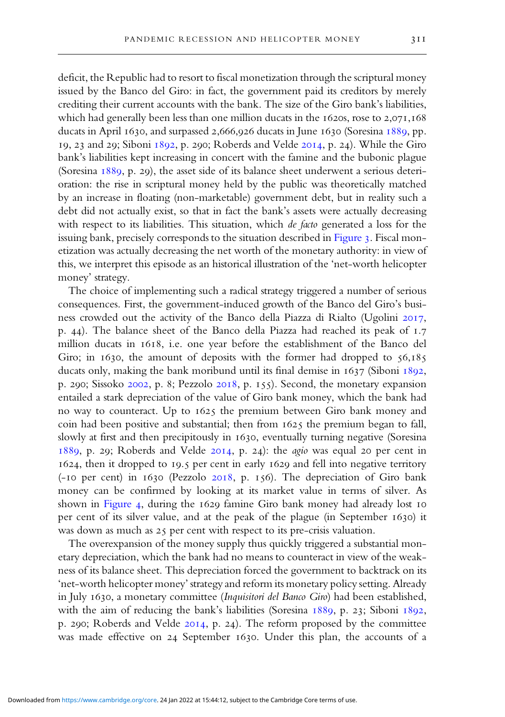deficit, the Republic had to resort to fiscal monetization through the scriptural money issued by the Banco del Giro: in fact, the government paid its creditors by merely crediting their current accounts with the bank. The size of the Giro bank's liabilities, which had generally been less than one million ducats in the  $1620s$ , rose to  $2,071,168$ ducats in April 1630, and surpassed 2,666,926 ducats in June 1630 (Soresina 1889, pp. 19, 23 and 29; Siboni 1892, p. 290; Roberds and Velde 2014, p. 24). While the Giro bank's liabilities kept increasing in concert with the famine and the bubonic plague (Soresina  $1889$ , p. 29), the asset side of its balance sheet underwent a serious deterioration: the rise in scriptural money held by the public was theoretically matched by an increase in floating (non-marketable) government debt, but in reality such a debt did not actually exist, so that in fact the bank's assets were actually decreasing with respect to its liabilities. This situation, which de facto generated a loss for the issuing bank, precisely corresponds to the situation described in Figure 3. Fiscal monetization was actually decreasing the net worth of the monetary authority: in view of this, we interpret this episode as an historical illustration of the 'net-worth helicopter money' strategy.

The choice of implementing such a radical strategy triggered a number of serious consequences. First, the government-induced growth of the Banco del Giro's business crowded out the activity of the Banco della Piazza di Rialto (Ugolini 2017, p. 44). The balance sheet of the Banco della Piazza had reached its peak of 1.7 million ducats in 1618, i.e. one year before the establishment of the Banco del Giro; in  $1630$ , the amount of deposits with the former had dropped to  $56,185$ ducats only, making the bank moribund until its final demise in  $1637$  (Siboni  $1892$ , p. 290; Sissoko 2002, p. 8; Pezzolo 2018, p. 155). Second, the monetary expansion entailed a stark depreciation of the value of Giro bank money, which the bank had no way to counteract. Up to 1625 the premium between Giro bank money and coin had been positive and substantial; then from  $1625$  the premium began to fall, slowly at first and then precipitously in 1630, eventually turning negative (Soresina  $1889$ , p. 29; Roberds and Velde  $2014$ , p. 24): the *agio* was equal 20 per cent in 1624, then it dropped to 19.5 per cent in early 1629 and fell into negative territory ( $-10$  per cent) in  $1630$  (Pezzolo  $2018$ , p.  $156$ ). The depreciation of Giro bank money can be confirmed by looking at its market value in terms of silver. As shown in Figure 4, during the 1629 famine Giro bank money had already lost 10 per cent of its silver value, and at the peak of the plague (in September 1630) it was down as much as  $25$  per cent with respect to its pre-crisis valuation.

The overexpansion of the money supply thus quickly triggered a substantial monetary depreciation, which the bank had no means to counteract in view of the weakness of its balance sheet. This depreciation forced the government to backtrack on its 'net-worth helicopter money' strategy and reform its monetary policy setting. Already in July 1630, a monetary committee (Inquisitori del Banco Giro) had been established, with the aim of reducing the bank's liabilities (Soresina  $1889$ , p. 23; Siboni  $1892$ , p. 290; Roberds and Velde  $20I4$ , p. 24). The reform proposed by the committee was made effective on 24 September 1630. Under this plan, the accounts of a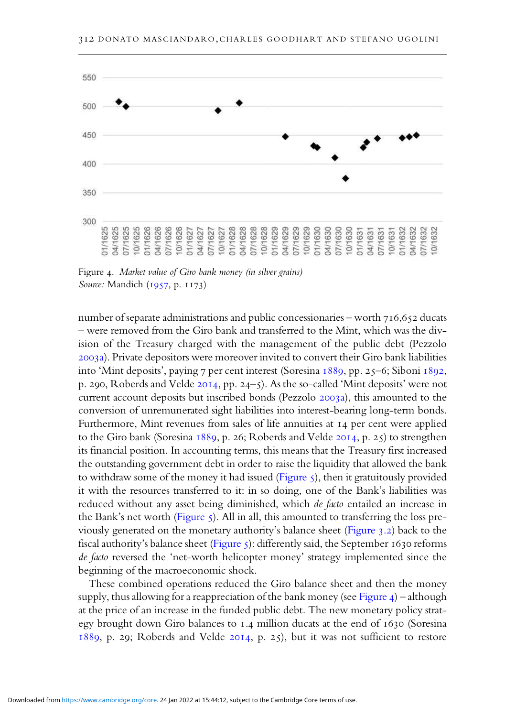

Figure 4. Market value of Giro bank money (in silver grains) Source: Mandich (1957, p. 1173)

number of separate administrations and public concessionaries – worth  $716,652$  ducats – were removed from the Giro bank and transferred to the Mint, which was the division of the Treasury charged with the management of the public debt (Pezzolo a). Private depositors were moreover invited to convert their Giro bank liabilities into 'Mint deposits', paying 7 per cent interest (Soresina 1889, pp. 25–6; Siboni 1892, p. 290, Roberds and Velde  $2014$ , pp. 24-5). As the so-called 'Mint deposits' were not current account deposits but inscribed bonds (Pezzolo 2003a), this amounted to the conversion of unremunerated sight liabilities into interest-bearing long-term bonds. Furthermore, Mint revenues from sales of life annuities at 14 per cent were applied to the Giro bank (Soresina  $1889$ , p. 26; Roberds and Velde 2014, p. 25) to strengthen its financial position. In accounting terms, this means that the Treasury first increased the outstanding government debt in order to raise the liquidity that allowed the bank to withdraw some of the money it had issued (Figure  $\varsigma$ ), then it gratuitously provided it with the resources transferred to it: in so doing, one of the Bank's liabilities was reduced without any asset being diminished, which de facto entailed an increase in the Bank's net worth (Figure 5). All in all, this amounted to transferring the loss previously generated on the monetary authority's balance sheet (Figure  $3.2$ ) back to the fiscal authority's balance sheet (Figure 5): differently said, the September 1630 reforms de facto reversed the 'net-worth helicopter money' strategy implemented since the beginning of the macroeconomic shock.

These combined operations reduced the Giro balance sheet and then the money supply, thus allowing for a reappreciation of the bank money (see Figure  $4$ ) – although at the price of an increase in the funded public debt. The new monetary policy strategy brought down Giro balances to 1.4 million ducats at the end of 1630 (Soresina 1889, p. 29; Roberds and Velde 2014, p. 25), but it was not sufficient to restore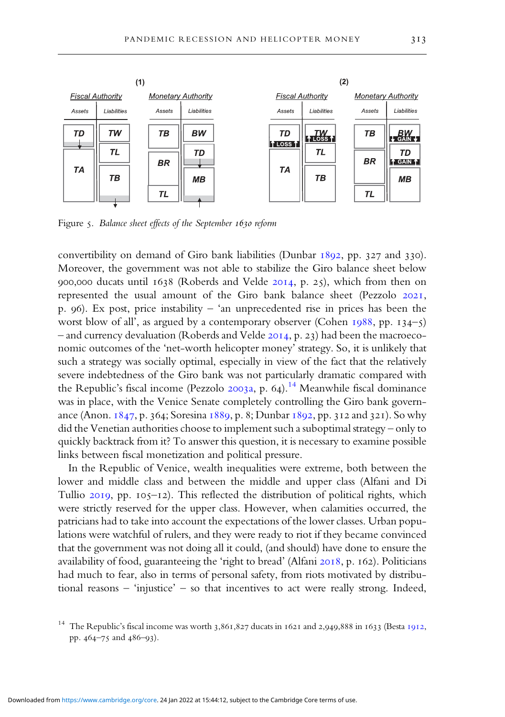

Figure 5. Balance sheet effects of the September 1630 reform

convertibility on demand of Giro bank liabilities (Dunbar  $1892$ , pp.  $327$  and  $330$ ). Moreover, the government was not able to stabilize the Giro balance sheet below 900,000 ducats until  $1638$  (Roberds and Velde 2014, p. 25), which from then on represented the usual amount of the Giro bank balance sheet (Pezzolo 2021, p. 96). Ex post, price instability – 'an unprecedented rise in prices has been the worst blow of all', as argued by a contemporary observer (Cohen  $1988$ , pp.  $134-5$ ) – and currency devaluation (Roberds and Velde 2014, p. 23) had been the macroeconomic outcomes of the 'net-worth helicopter money' strategy. So, it is unlikely that such a strategy was socially optimal, especially in view of the fact that the relatively severe indebtedness of the Giro bank was not particularly dramatic compared with the Republic's fiscal income (Pezzolo 2003a, p. 64).<sup>14</sup> Meanwhile fiscal dominance was in place, with the Venice Senate completely controlling the Giro bank governance (Anon.  $1847$ , p. 364; Soresina  $1889$ , p. 8; Dunbar  $1892$ , pp. 312 and 321). So why did the Venetian authorities choose to implement such a suboptimal strategy – only to quickly backtrack from it? To answer this question, it is necessary to examine possible links between fiscal monetization and political pressure.

In the Republic of Venice, wealth inequalities were extreme, both between the lower and middle class and between the middle and upper class (Alfani and Di Tullio  $2019$ , pp.  $105-12$ ). This reflected the distribution of political rights, which were strictly reserved for the upper class. However, when calamities occurred, the patricians had to take into account the expectations of the lower classes. Urban populations were watchful of rulers, and they were ready to riot if they became convinced that the government was not doing all it could, (and should) have done to ensure the availability of food, guaranteeing the 'right to bread' (Alfani 2018, p. 162). Politicians had much to fear, also in terms of personal safety, from riots motivated by distributional reasons – 'injustice' – so that incentives to act were really strong. Indeed,

<sup>&</sup>lt;sup>14</sup> The Republic's fiscal income was worth 3,861,827 ducats in 1621 and 2,949,888 in 1633 (Besta 1912, pp. 464–75 and 486–93).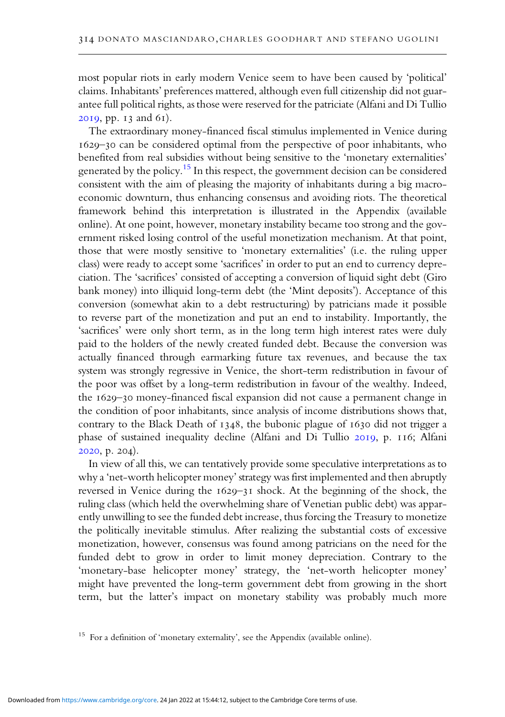most popular riots in early modern Venice seem to have been caused by 'political' claims. Inhabitants' preferences mattered, although even full citizenship did not guarantee full political rights, as those were reserved for the patriciate (Alfani and Di Tullio  $2019$ , pp.  $13$  and  $61$ ).

The extraordinary money-financed fiscal stimulus implemented in Venice during – can be considered optimal from the perspective of poor inhabitants, who benefited from real subsidies without being sensitive to the 'monetary externalities' generated by the policy.<sup>15</sup> In this respect, the government decision can be considered consistent with the aim of pleasing the majority of inhabitants during a big macroeconomic downturn, thus enhancing consensus and avoiding riots. The theoretical framework behind this interpretation is illustrated in the Appendix (available online). At one point, however, monetary instability became too strong and the government risked losing control of the useful monetization mechanism. At that point, those that were mostly sensitive to 'monetary externalities' (i.e. the ruling upper class) were ready to accept some 'sacrifices' in order to put an end to currency depreciation. The 'sacrifices' consisted of accepting a conversion of liquid sight debt (Giro bank money) into illiquid long-term debt (the 'Mint deposits'). Acceptance of this conversion (somewhat akin to a debt restructuring) by patricians made it possible to reverse part of the monetization and put an end to instability. Importantly, the 'sacrifices' were only short term, as in the long term high interest rates were duly paid to the holders of the newly created funded debt. Because the conversion was actually financed through earmarking future tax revenues, and because the tax system was strongly regressive in Venice, the short-term redistribution in favour of the poor was offset by a long-term redistribution in favour of the wealthy. Indeed, the 1629-30 money-financed fiscal expansion did not cause a permanent change in the condition of poor inhabitants, since analysis of income distributions shows that, contrary to the Black Death of 1348, the bubonic plague of 1630 did not trigger a phase of sustained inequality decline (Alfani and Di Tullio 2019, p. 116; Alfani 2020, p. 204).

In view of all this, we can tentatively provide some speculative interpretations as to why a'net-worth helicopter money' strategy was first implemented and then abruptly reversed in Venice during the  $1629-31$  shock. At the beginning of the shock, the ruling class (which held the overwhelming share of Venetian public debt) was apparently unwilling to see the funded debt increase, thus forcing the Treasury to monetize the politically inevitable stimulus. After realizing the substantial costs of excessive monetization, however, consensus was found among patricians on the need for the funded debt to grow in order to limit money depreciation. Contrary to the 'monetary-base helicopter money' strategy, the 'net-worth helicopter money' might have prevented the long-term government debt from growing in the short term, but the latter's impact on monetary stability was probably much more

<sup>&</sup>lt;sup>15</sup> For a definition of 'monetary externality', see the Appendix (available online).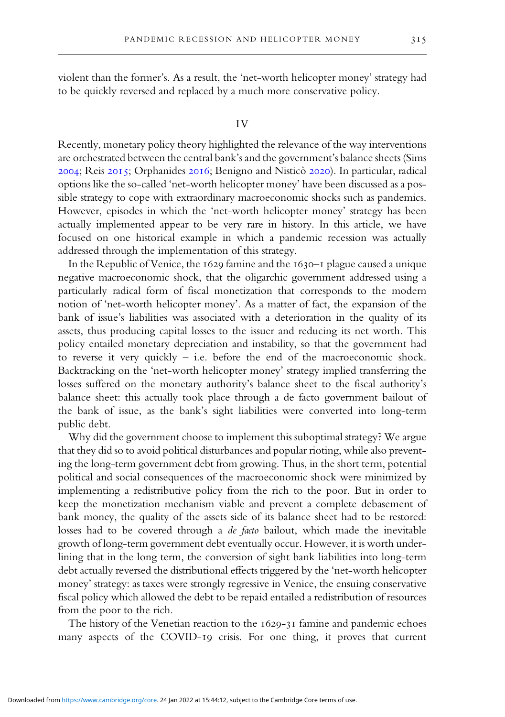violent than the former's. As a result, the 'net-worth helicopter money' strategy had to be quickly reversed and replaced by a much more conservative policy.

#### IV

Recently, monetary policy theory highlighted the relevance of the way interventions are orchestrated between the central bank's and the government's balance sheets (Sims 2004; Reis 2015; Orphanides 2016; Benigno and Nisticò 2020). In particular, radical options like the so-called 'net-worth helicopter money' have been discussed as a possible strategy to cope with extraordinary macroeconomic shocks such as pandemics. However, episodes in which the 'net-worth helicopter money' strategy has been actually implemented appear to be very rare in history. In this article, we have focused on one historical example in which a pandemic recession was actually addressed through the implementation of this strategy.

In the Republic of Venice, the  $1629$  famine and the  $1630 - 1$  plague caused a unique negative macroeconomic shock, that the oligarchic government addressed using a particularly radical form of fiscal monetization that corresponds to the modern notion of 'net-worth helicopter money'. As a matter of fact, the expansion of the bank of issue's liabilities was associated with a deterioration in the quality of its assets, thus producing capital losses to the issuer and reducing its net worth. This policy entailed monetary depreciation and instability, so that the government had to reverse it very quickly – i.e. before the end of the macroeconomic shock. Backtracking on the 'net-worth helicopter money' strategy implied transferring the losses suffered on the monetary authority's balance sheet to the fiscal authority's balance sheet: this actually took place through a de facto government bailout of the bank of issue, as the bank's sight liabilities were converted into long-term public debt.

Why did the government choose to implement this suboptimal strategy? We argue that they did so to avoid political disturbances and popular rioting, while also preventing the long-term government debt from growing. Thus, in the short term, potential political and social consequences of the macroeconomic shock were minimized by implementing a redistributive policy from the rich to the poor. But in order to keep the monetization mechanism viable and prevent a complete debasement of bank money, the quality of the assets side of its balance sheet had to be restored: losses had to be covered through a de facto bailout, which made the inevitable growth of long-term government debt eventually occur. However, it is worth underlining that in the long term, the conversion of sight bank liabilities into long-term debt actually reversed the distributional effects triggered by the 'net-worth helicopter money' strategy: as taxes were strongly regressive in Venice, the ensuing conservative fiscal policy which allowed the debt to be repaid entailed a redistribution of resources from the poor to the rich.

The history of the Venetian reaction to the  $1629-31$  famine and pandemic echoes many aspects of the COVID-19 crisis. For one thing, it proves that current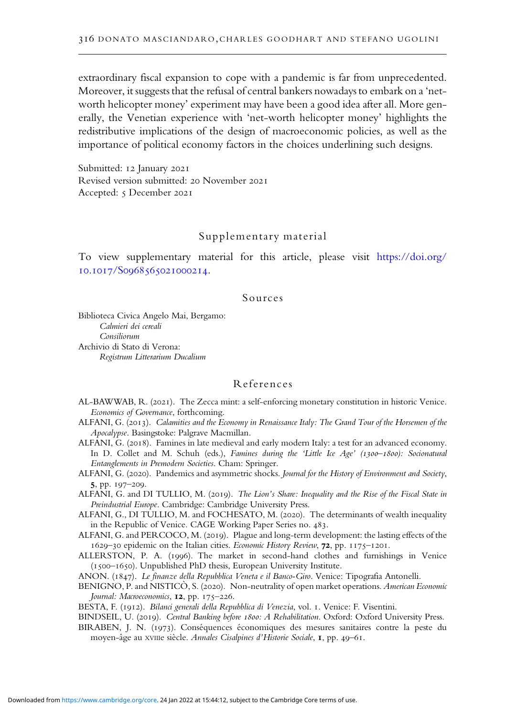extraordinary fiscal expansion to cope with a pandemic is far from unprecedented. Moreover, it suggests that the refusal of central bankers nowadays to embark on a'networth helicopter money' experiment may have been a good idea after all. More generally, the Venetian experience with 'net-worth helicopter money' highlights the redistributive implications of the design of macroeconomic policies, as well as the importance of political economy factors in the choices underlining such designs.

Submitted: 12 January 2021 Revised version submitted: 20 November 2021 Accepted: 5 December 2021

## Supplementary material

To view supplementary material for this article, please visit https://doi.org/ 10.1017/S0968565021000214.

## Sources

Biblioteca Civica Angelo Mai, Bergamo: Calmieri dei cereali Consiliorum Archivio di Stato di Verona: Registrum Litterarium Ducalium

#### References

- AL-BAWWAB, R. (2021). The Zecca mint: a self-enforcing monetary constitution in historic Venice. Economics of Governance, forthcoming.
- ALFANI, G. (2013). Calamities and the Economy in Renaissance Italy: The Grand Tour of the Horsemen of the Apocalypse. Basingstoke: Palgrave Macmillan.
- ALFANI, G. (2018). Famines in late medieval and early modern Italy: a test for an advanced economy. In D. Collet and M. Schuh (eds.), Famines during the 'Little Ice Age' (1300-1800): Socionatural Entanglements in Premodern Societies. Cham: Springer.
- ALFANI, G. (2020). Pandemics and asymmetric shocks. Journal for the History of Environment and Society, 5, pp. 197-209.
- ALFANI, G. and DI TULLIO, M. (2019). The Lion's Share: Inequality and the Rise of the Fiscal State in Preindustrial Europe. Cambridge: Cambridge University Press.
- ALFANI, G., DI TULLIO, M. and FOCHESATO, M. (2020). The determinants of wealth inequality in the Republic of Venice. CAGE Working Paper Series no. 483.
- ALFANI, G. and PERCOCO, M. (2019). Plague and long-term development: the lasting effects of the 1629-30 epidemic on the Italian cities. Economic History Review, 72, pp. 1175-1201.
- ALLERSTON, P. A. (1996). The market in second-hand clothes and furnishings in Venice  $(1500 - 1650)$ . Unpublished PhD thesis, European University Institute.

ANON. (1847). Le finanze della Repubblica Veneta e il Banco-Giro. Venice: Tipografia Antonelli.

- BENIGNO, P. and NISTICÒ, S. (2020). Non-neutrality of open market operations. American Economic Journal: Macroeconomics,  $12$ , pp.  $175-226$ .
- BESTA, F. (1912). Bilanci generali della Repubblica di Venezia, vol. 1. Venice: F. Visentini.
- BINDSEIL, U. (2019). Central Banking before 1800: A Rehabilitation. Oxford: Oxford University Press.
- BIRABEN, J. N. (1973). Conséquences économiques des mesures sanitaires contre la peste du moyen-âge au XVIIIe siècle. Annales Cisalpines d'Historie Sociale, I, pp. 49-61.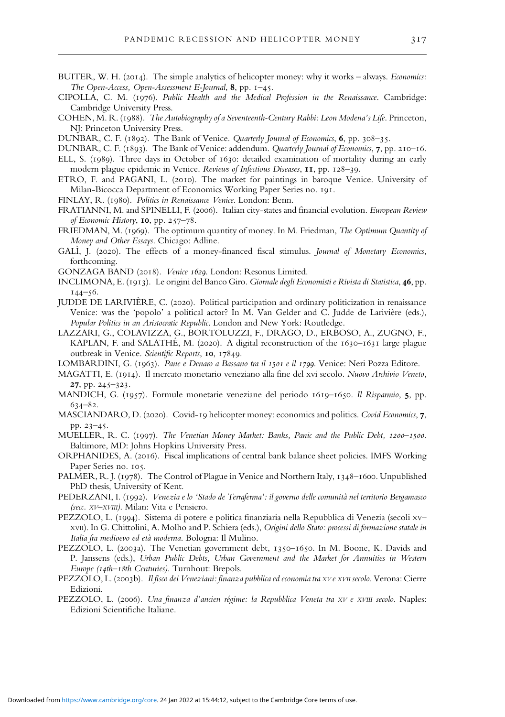- BUITER, W. H. (2014). The simple analytics of helicopter money: why it works always. *Economics:* The Open-Access, Open-Assessment E-Journal,  $8$ , pp.  $1-45$ .
- CIPOLLA, C. M. (1976). Public Health and the Medical Profession in the Renaissance. Cambridge: Cambridge University Press.
- COHEN, M. R. (1988). The Autobiography of a Seventeenth-Century Rabbi: Leon Modena's Life. Princeton, NJ: Princeton University Press.
- DUNBAR, C. F. (1892). The Bank of Venice. Quarterly Journal of Economics, 6, pp. 308-35.
- DUNBAR, C. F. (1893). The Bank of Venice: addendum. Quarterly Journal of Economics, 7, pp. 210-16.
- ELL, S. (1989). Three days in October of 1630: detailed examination of mortality during an early modern plague epidemic in Venice. Reviews of Infectious Diseases, 11, pp. 128-39.
- ETRO, F. and PAGANI, L. (2010). The market for paintings in baroque Venice. University of Milan-Bicocca Department of Economics Working Paper Series no. 191.
- FINLAY, R. (1980). Politics in Renaissance Venice. London: Benn.
- FRATIANNI, M. and SPINELLI, F. (2006). Italian city-states and financial evolution. European Review of Economic History, 10, pp. 257-78.
- FRIEDMAN, M. (1969). The optimum quantity of money. In M. Friedman, The Optimum Quantity of Money and Other Essays. Chicago: Adline.
- GALÌ, J. (2020). The effects of a money-financed fiscal stimulus. Journal of Monetary Economics, forthcoming.
- GONZAGA BAND (2018). Venice 1629. London: Resonus Limited.
- INCLIMONA, E. (1913). Le origini del Banco Giro. Giornale degli Economisti e Rivista di Statistica, 46, pp.  $144 - 56.$
- JUDDE DE LARIVIÈRE, C. (2020). Political participation and ordinary politicization in renaissance Venice: was the 'popolo' a political actor? In M. Van Gelder and C. Judde de Larivière (eds.), Popular Politics in an Aristocratic Republic. London and New York: Routledge.
- LAZZARI, G., COLAVIZZA, G., BORTOLUZZI, F., DRAGO, D., ERBOSO, A., ZUGNO, F., KAPLAN, F. and SALATHÉ, M. (2020). A digital reconstruction of the  $1630-1631$  large plague outbreak in Venice. Scientific Reports, 10, 17849.

LOMBARDINI, G. (1963). Pane e Denaro a Bassano tra il 1501 e il 1799. Venice: Neri Pozza Editore.

- MAGATTI, E. (1914). Il mercato monetario veneziano alla fine del xvi secolo. Nuovo Archivio Veneto,  $27, pp. 245 - 323.$
- MANDICH, G. (1957). Formule monetarie veneziane del periodo 1619–1650. Il Risparmio, 5, pp.  $634 - 82.$
- MASCIANDARO, D. (2020). Covid-19 helicopter money: economics and politics. Covid Economics, 7, pp. 23-45.
- MUELLER, R. C. (1997). The Venetian Money Market: Banks, Panic and the Public Debt, 1200-1500. Baltimore, MD: Johns Hopkins University Press.
- ORPHANIDES, A. (2016). Fiscal implications of central bank balance sheet policies. IMFS Working Paper Series no. 105.
- PALMER, R. J. (1978). The Control of Plague in Venice and Northern Italy, 1348–1600. Unpublished PhD thesis, University of Kent.
- PEDERZANI, I. (1992). Venezia e lo 'Stado de Terraferma': il governo delle comunità nel territorio Bergamasco (secc. XV–XVIII). Milan: Vita e Pensiero.
- PEZZOLO, L. (1994). Sistema di potere e politica finanziaria nella Repubblica di Venezia (secoli xv-XVII). In G. Chittolini, A. Molho and P. Schiera (eds.), Origini dello Stato: processi di formazione statale in Italia fra medioevo ed età moderna. Bologna: Il Mulino.
- PEZZOLO, L. (2003a). The Venetian government debt, 1350-1650. In M. Boone, K. Davids and P. Janssens (eds.), Urban Public Debts, Urban Government and the Market for Annuities in Western Europe (14th–18th Centuries). Turnhout: Brepols.
- PEZZOLO, L. (2003b). Il fisco dei Veneziani: finanza pubblica ed economia tra XV e XVII secolo. Verona: Cierre Edizioni.
- PEZZOLO, L. (2006). Una finanza d'ancien régime: la Repubblica Veneta tra XV e XVIII secolo. Naples: Edizioni Scientifiche Italiane.